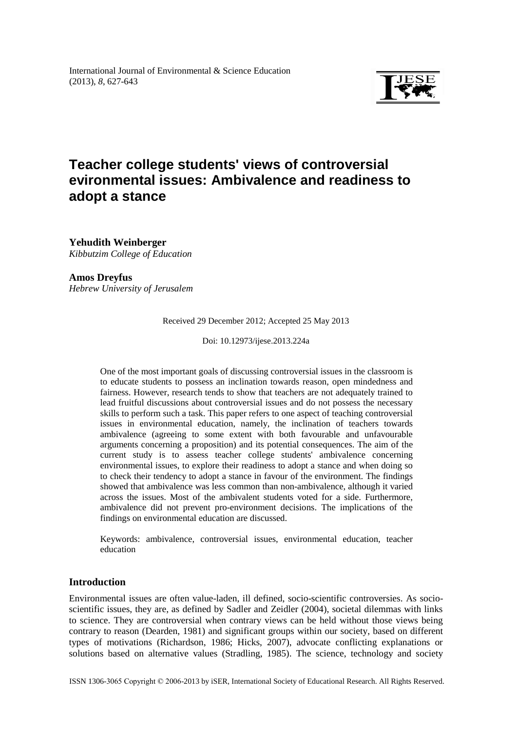

# **Teacher college students' views of controversial evironmental issues: Ambivalence and readiness to adopt a stance**

**Yehudith Weinberger** *Kibbutzim College of Education*

**Amos Dreyfus**

*Hebrew University of Jerusalem*

Received 29 December 2012; Accepted 25 May 2013

Doi: 10.12973/ijese.2013.224a

One of the most important goals of discussing controversial issues in the classroom is to educate students to possess an inclination towards reason, open mindedness and fairness. However, research tends to show that teachers are not adequately trained to lead fruitful discussions about controversial issues and do not possess the necessary skills to perform such a task. This paper refers to one aspect of teaching controversial issues in environmental education, namely, the inclination of teachers towards ambivalence (agreeing to some extent with both favourable and unfavourable arguments concerning a proposition) and its potential consequences. The aim of the current study is to assess teacher college students' ambivalence concerning environmental issues, to explore their readiness to adopt a stance and when doing so to check their tendency to adopt a stance in favour of the environment. The findings showed that ambivalence was less common than non-ambivalence, although it varied across the issues. Most of the ambivalent students voted for a side. Furthermore, ambivalence did not prevent pro-environment decisions. The implications of the findings on environmental education are discussed.

Keywords: ambivalence, controversial issues, environmental education, teacher education

# **Introduction**

Environmental issues are often value-laden, ill defined, socio-scientific controversies. As socioscientific issues, they are, as defined by Sadler and Zeidler (2004), societal dilemmas with links to science. They are controversial when contrary views can be held without those views being contrary to reason (Dearden, 1981) and significant groups within our society, based on different types of motivations (Richardson, 1986; Hicks, 2007), advocate conflicting explanations or solutions based on alternative values (Stradling, 1985). The science, technology and society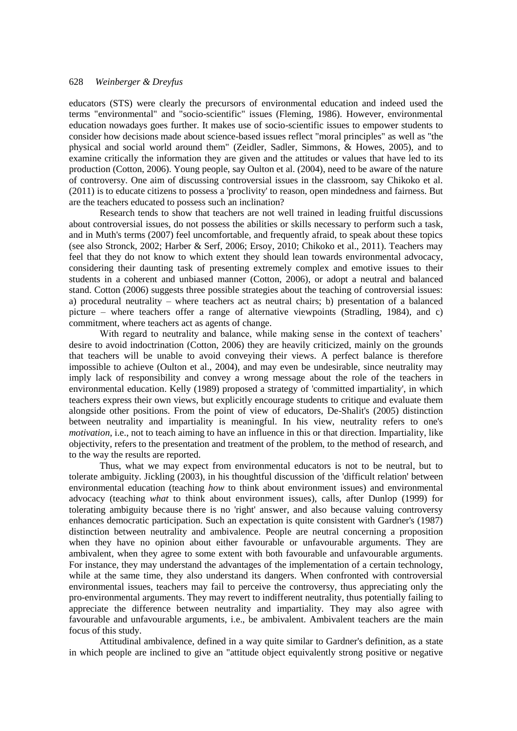educators (STS) were clearly the precursors of environmental education and indeed used the terms "environmental" and "socio-scientific" issues (Fleming, 1986). However, environmental education nowadays goes further. It makes use of socio-scientific issues to empower students to consider how decisions made about science-based issues reflect "moral principles" as well as "the physical and social world around them" (Zeidler, Sadler, Simmons, & Howes, 2005), and to examine critically the information they are given and the attitudes or values that have led to its production (Cotton, 2006). Young people, say Oulton et al. (2004), need to be aware of the nature of controversy. One aim of discussing controversial issues in the classroom, say Chikoko et al. (2011) is to educate citizens to possess a 'proclivity' to reason, open mindedness and fairness. But are the teachers educated to possess such an inclination?

Research tends to show that teachers are not well trained in leading fruitful discussions about controversial issues, do not possess the abilities or skills necessary to perform such a task, and in Muth's terms (2007) feel uncomfortable, and frequently afraid, to speak about these topics (see also Stronck, 2002; Harber & Serf, 2006; Ersoy, 2010; Chikoko et al., 2011). Teachers may feel that they do not know to which extent they should lean towards environmental advocacy, considering their daunting task of presenting extremely complex and emotive issues to their students in a coherent and unbiased manner (Cotton, 2006), or adopt a neutral and balanced stand. Cotton (2006) suggests three possible strategies about the teaching of controversial issues: a) procedural neutrality – where teachers act as neutral chairs; b) presentation of a balanced picture – where teachers offer a range of alternative viewpoints (Stradling, 1984), and c) commitment, where teachers act as agents of change.

With regard to neutrality and balance, while making sense in the context of teachers' desire to avoid indoctrination (Cotton, 2006) they are heavily criticized, mainly on the grounds that teachers will be unable to avoid conveying their views. A perfect balance is therefore impossible to achieve (Oulton et al., 2004), and may even be undesirable, since neutrality may imply lack of responsibility and convey a wrong message about the role of the teachers in environmental education. Kelly (1989) proposed a strategy of 'committed impartiality', in which teachers express their own views, but explicitly encourage students to critique and evaluate them alongside other positions. From the point of view of educators, De-Shalit's (2005) distinction between neutrality and impartiality is meaningful. In his view, neutrality refers to one's *motivation*, i.e., not to teach aiming to have an influence in this or that direction. Impartiality, like objectivity, refers to the presentation and treatment of the problem, to the method of research, and to the way the results are reported.

Thus, what we may expect from environmental educators is not to be neutral, but to tolerate ambiguity. Jickling (2003), in his thoughtful discussion of the 'difficult relation' between environmental education (teaching *how* to think about environment issues) and environmental advocacy (teaching *what* to think about environment issues), calls, after Dunlop (1999) for tolerating ambiguity because there is no 'right' answer, and also because valuing controversy enhances democratic participation. Such an expectation is quite consistent with Gardner's (1987) distinction between neutrality and ambivalence. People are neutral concerning a proposition when they have no opinion about either favourable or unfavourable arguments. They are ambivalent, when they agree to some extent with both favourable and unfavourable arguments. For instance, they may understand the advantages of the implementation of a certain technology, while at the same time, they also understand its dangers. When confronted with controversial environmental issues, teachers may fail to perceive the controversy, thus appreciating only the pro-environmental arguments. They may revert to indifferent neutrality, thus potentially failing to appreciate the difference between neutrality and impartiality. They may also agree with favourable and unfavourable arguments, i.e., be ambivalent. Ambivalent teachers are the main focus of this study.

Attitudinal ambivalence, defined in a way quite similar to Gardner's definition, as a state in which people are inclined to give an "attitude object equivalently strong positive or negative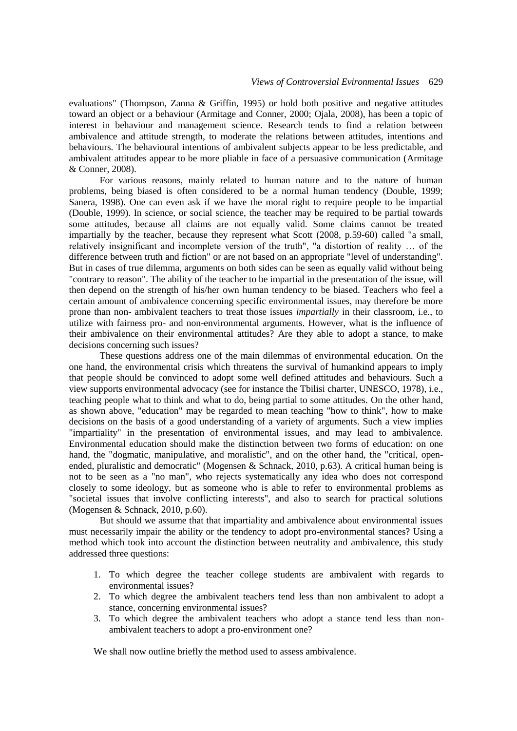evaluations" (Thompson, Zanna & Griffin, 1995) or hold both positive and negative attitudes toward an object or a behaviour (Armitage and Conner, 2000; Ojala, 2008), has been a topic of interest in behaviour and management science. Research tends to find a relation between ambivalence and attitude strength, to moderate the relations between attitudes, intentions and behaviours. The behavioural intentions of ambivalent subjects appear to be less predictable, and ambivalent attitudes appear to be more pliable in face of a persuasive communication (Armitage & Conner, 2008).

For various reasons, mainly related to human nature and to the nature of human problems, being biased is often considered to be a normal human tendency (Double, 1999; Sanera, 1998). One can even ask if we have the moral right to require people to be impartial (Double, 1999). In science, or social science, the teacher may be required to be partial towards some attitudes, because all claims are not equally valid. Some claims cannot be treated impartially by the teacher, because they represent what Scott (2008, p.59-60) called "a small, relatively insignificant and incomplete version of the truth", "a distortion of reality … of the difference between truth and fiction" or are not based on an appropriate "level of understanding". But in cases of true dilemma, arguments on both sides can be seen as equally valid without being "contrary to reason". The ability of the teacher to be impartial in the presentation of the issue, will then depend on the strength of his/her own human tendency to be biased. Teachers who feel a certain amount of ambivalence concerning specific environmental issues, may therefore be more prone than non- ambivalent teachers to treat those issues *impartially* in their classroom, i.e., to utilize with fairness pro- and non-environmental arguments. However, what is the influence of their ambivalence on their environmental attitudes? Are they able to adopt a stance, to make decisions concerning such issues?

These questions address one of the main dilemmas of environmental education. On the one hand, the environmental crisis which threatens the survival of humankind appears to imply that people should be convinced to adopt some well defined attitudes and behaviours. Such a view supports environmental advocacy (see for instance the Tbilisi charter, UNESCO, 1978), i.e., teaching people what to think and what to do, being partial to some attitudes. On the other hand, as shown above, "education" may be regarded to mean teaching "how to think", how to make decisions on the basis of a good understanding of a variety of arguments. Such a view implies "impartiality" in the presentation of environmental issues, and may lead to ambivalence. Environmental education should make the distinction between two forms of education: on one hand, the "dogmatic, manipulative, and moralistic", and on the other hand, the "critical, openended, pluralistic and democratic" (Mogensen & Schnack, 2010, p.63). A critical human being is not to be seen as a "no man", who rejects systematically any idea who does not correspond closely to some ideology, but as someone who is able to refer to environmental problems as "societal issues that involve conflicting interests", and also to search for practical solutions (Mogensen & Schnack, 2010, p.60).

But should we assume that that impartiality and ambivalence about environmental issues must necessarily impair the ability or the tendency to adopt pro-environmental stances? Using a method which took into account the distinction between neutrality and ambivalence, this study addressed three questions:

- 1. To which degree the teacher college students are ambivalent with regards to environmental issues?
- 2. To which degree the ambivalent teachers tend less than non ambivalent to adopt a stance, concerning environmental issues?
- 3. To which degree the ambivalent teachers who adopt a stance tend less than nonambivalent teachers to adopt a pro-environment one?

We shall now outline briefly the method used to assess ambivalence.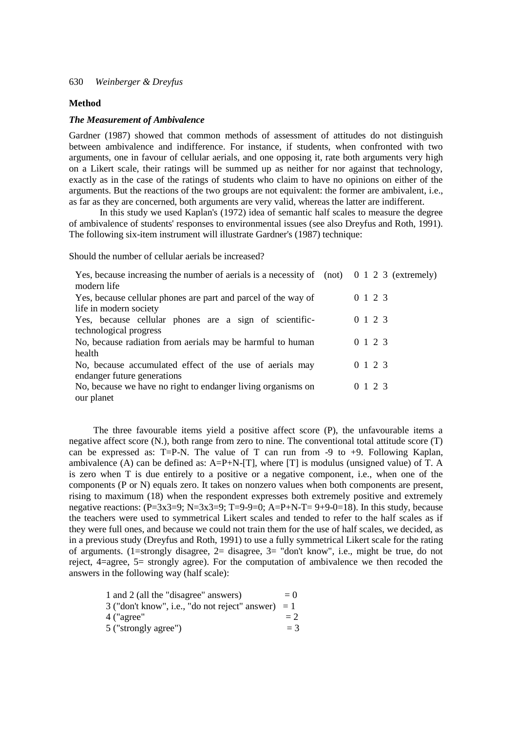#### **Method**

#### *The Measurement of Ambivalence*

Gardner (1987) showed that common methods of assessment of attitudes do not distinguish between ambivalence and indifference. For instance, if students, when confronted with two arguments, one in favour of cellular aerials, and one opposing it, rate both arguments very high on a Likert scale, their ratings will be summed up as neither for nor against that technology, exactly as in the case of the ratings of students who claim to have no opinions on either of the arguments. But the reactions of the two groups are not equivalent: the former are ambivalent, i.e., as far as they are concerned, both arguments are very valid, whereas the latter are indifferent.

In this study we used Kaplan's (1972) idea of semantic half scales to measure the degree of ambivalence of students' responses to environmental issues (see also Dreyfus and Roth, 1991). The following six-item instrument will illustrate Gardner's (1987) technique:

Should the number of cellular aerials be increased?

| Yes, because increasing the number of aerials is a necessity of $(not)$ 0 1 2 3 (extremely)<br>modern life |         |
|------------------------------------------------------------------------------------------------------------|---------|
| Yes, because cellular phones are part and parcel of the way of                                             | 0 1 2 3 |
| life in modern society                                                                                     |         |
| Yes, because cellular phones are a sign of scientific-                                                     | 0 1 2 3 |
| technological progress                                                                                     |         |
| No, because radiation from aerials may be harmful to human                                                 | 0 1 2 3 |
| health                                                                                                     |         |
| No, because accumulated effect of the use of aerials may                                                   | 0 1 2 3 |
| endanger future generations                                                                                |         |
| No, because we have no right to endanger living organisms on                                               | 0 1 2 3 |
| our planet                                                                                                 |         |

The three favourable items yield a positive affect score (P), the unfavourable items a negative affect score (N.), both range from zero to nine. The conventional total attitude score (T) can be expressed as: T=P-N. The value of T can run from  $-9$  to  $+9$ . Following Kaplan, ambivalence (A) can be defined as:  $A = P + N - [T]$ , where [T] is modulus (unsigned value) of T. A is zero when T is due entirely to a positive or a negative component, i.e., when one of the components (P or N) equals zero. It takes on nonzero values when both components are present, rising to maximum (18) when the respondent expresses both extremely positive and extremely negative reactions:  $(P=3x3=9; N=3x3=9; T=9-9=0; A=P+N-T= 9+9-0=18)$ . In this study, because the teachers were used to symmetrical Likert scales and tended to refer to the half scales as if they were full ones, and because we could not train them for the use of half scales, we decided, as in a previous study (Dreyfus and Roth, 1991) to use a fully symmetrical Likert scale for the rating of arguments. (1=strongly disagree, 2= disagree, 3= "don't know", i.e., might be true, do not reject, 4=agree, 5= strongly agree). For the computation of ambivalence we then recoded the answers in the following way (half scale):

| 1 and 2 (all the "disagree" answers)                 | $=$ () |
|------------------------------------------------------|--------|
| $3$ ("don't know", i.e., "do not reject" answer) = 1 |        |
| 4 ("agree"                                           | $= 2$  |
| 5 ("strongly agree")                                 | $=$ 3  |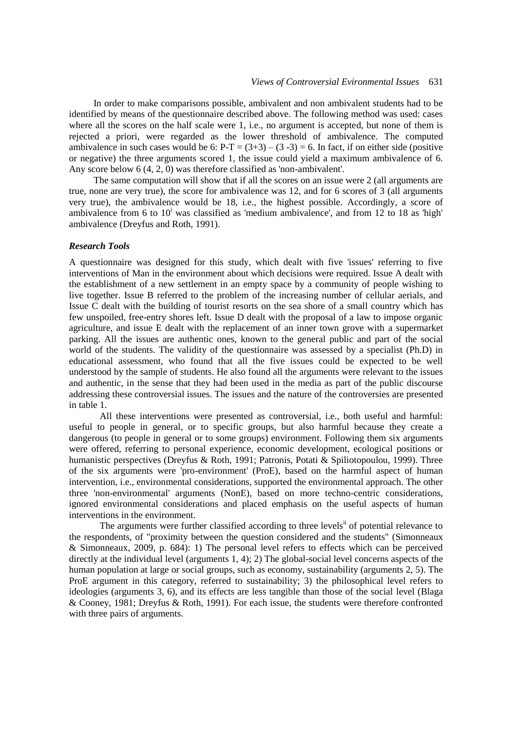In order to make comparisons possible, ambivalent and non ambivalent students had to be identified by means of the questionnaire described above. The following method was used: cases where all the scores on the half scale were 1, i.e., no argument is accepted, but none of them is rejected a priori, were regarded as the lower threshold of ambivalence. The computed ambivalence in such cases would be 6:  $P-T = (3+3) - (3-3) = 6$ . In fact, if on either side (positive or negative) the three arguments scored 1, the issue could yield a maximum ambivalence of 6. Any score below 6 (4, 2, 0) was therefore classified as 'non-ambivalent'.

The same computation will show that if all the scores on an issue were 2 (all arguments are true, none are very true), the score for ambivalence was 12, and for 6 scores of 3 (all arguments very true), the ambivalence would be 18, i.e., the highest possible. Accordingly, a score of ambivalence from 6 to  $10<sup>i</sup>$  was classified as 'medium ambivalence', and from 12 to 18 as 'high' ambivalence (Dreyfus and Roth, 1991).

## *Research Tools*

A questionnaire was designed for this study, which dealt with five 'issues' referring to five interventions of Man in the environment about which decisions were required. Issue A dealt with the establishment of a new settlement in an empty space by a community of people wishing to live together. Issue B referred to the problem of the increasing number of cellular aerials, and Issue C dealt with the building of tourist resorts on the sea shore of a small country which has few unspoiled, free-entry shores left. Issue D dealt with the proposal of a law to impose organic agriculture, and issue E dealt with the replacement of an inner town grove with a supermarket parking. All the issues are authentic ones, known to the general public and part of the social world of the students. The validity of the questionnaire was assessed by a specialist (Ph.D) in educational assessment, who found that all the five issues could be expected to be well understood by the sample of students. He also found all the arguments were relevant to the issues and authentic, in the sense that they had been used in the media as part of the public discourse addressing these controversial issues. The issues and the nature of the controversies are presented in table 1.

All these interventions were presented as controversial, i.e., both useful and harmful: useful to people in general, or to specific groups, but also harmful because they create a dangerous (to people in general or to some groups) environment. Following them six arguments were offered, referring to personal experience, economic development, ecological positions or humanistic perspectives (Dreyfus & Roth, 1991; Patronis, Potati & Spiliotopoulou, 1999). Three of the six arguments were 'pro-environment' (ProE), based on the harmful aspect of human intervention, i.e., environmental considerations, supported the environmental approach. The other three 'non-environmental' arguments (NonE), based on more techno-centric considerations, ignored environmental considerations and placed emphasis on the useful aspects of human interventions in the environment.

The arguments were further classified according to three levels<sup>ii</sup> of potential relevance to the respondents, of "proximity between the question considered and the students" (Simonneaux & Simonneaux, 2009, p. 684): 1) The personal level refers to effects which can be perceived directly at the individual level (arguments 1, 4); 2) The global-social level concerns aspects of the human population at large or social groups, such as economy, sustainability (arguments 2, 5). The ProE argument in this category, referred to sustainability; 3) the philosophical level refers to ideologies (arguments 3, 6), and its effects are less tangible than those of the social level (Blaga & Cooney, 1981; Dreyfus & Roth, 1991). For each issue, the students were therefore confronted with three pairs of arguments.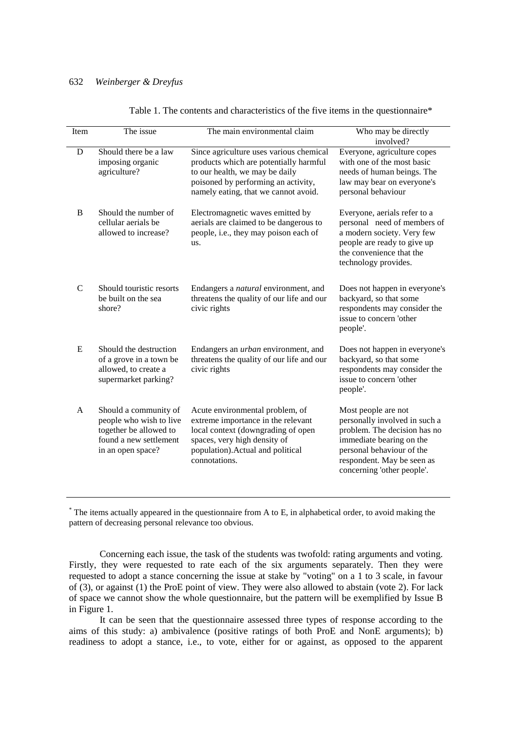Table 1. The contents and characteristics of the five items in the questionnaire\*

| Item         | The issue                                                                                                                 | The main environmental claim                                                                                                                                                                       | Who may be directly<br>involved?                                                                                                                                                                          |
|--------------|---------------------------------------------------------------------------------------------------------------------------|----------------------------------------------------------------------------------------------------------------------------------------------------------------------------------------------------|-----------------------------------------------------------------------------------------------------------------------------------------------------------------------------------------------------------|
| D            | Should there be a law<br>imposing organic<br>agriculture?                                                                 | Since agriculture uses various chemical<br>products which are potentially harmful<br>to our health, we may be daily<br>poisoned by performing an activity,<br>namely eating, that we cannot avoid. | Everyone, agriculture copes<br>with one of the most basic<br>needs of human beings. The<br>law may bear on everyone's<br>personal behaviour                                                               |
| B            | Should the number of<br>cellular aerials be<br>allowed to increase?                                                       | Electromagnetic waves emitted by<br>aerials are claimed to be dangerous to<br>people, i.e., they may poison each of<br>us.                                                                         | Everyone, aerials refer to a<br>personal need of members of<br>a modern society. Very few<br>people are ready to give up<br>the convenience that the<br>technology provides.                              |
| $\mathsf{C}$ | Should touristic resorts<br>be built on the sea<br>shore?                                                                 | Endangers a <i>natural</i> environment, and<br>threatens the quality of our life and our<br>civic rights                                                                                           | Does not happen in everyone's<br>backyard, so that some<br>respondents may consider the<br>issue to concern 'other<br>people'.                                                                            |
| E            | Should the destruction<br>of a grove in a town be<br>allowed, to create a<br>supermarket parking?                         | Endangers an <i>urban</i> environment, and<br>threatens the quality of our life and our<br>civic rights                                                                                            | Does not happen in everyone's<br>backyard, so that some<br>respondents may consider the<br>issue to concern 'other<br>people'.                                                                            |
| $\mathsf{A}$ | Should a community of<br>people who wish to live<br>together be allowed to<br>found a new settlement<br>in an open space? | Acute environmental problem, of<br>extreme importance in the relevant<br>local context (downgrading of open<br>spaces, very high density of<br>population). Actual and political<br>connotations.  | Most people are not<br>personally involved in such a<br>problem. The decision has no<br>immediate bearing on the<br>personal behaviour of the<br>respondent. May be seen as<br>concerning 'other people'. |

\* The items actually appeared in the questionnaire from A to E, in alphabetical order, to avoid making the pattern of decreasing personal relevance too obvious.

Concerning each issue, the task of the students was twofold: rating arguments and voting. Firstly, they were requested to rate each of the six arguments separately. Then they were requested to adopt a stance concerning the issue at stake by "voting" on a 1 to 3 scale, in favour of (3), or against (1) the ProE point of view. They were also allowed to abstain (vote 2). For lack of space we cannot show the whole questionnaire, but the pattern will be exemplified by Issue B in Figure 1.

It can be seen that the questionnaire assessed three types of response according to the aims of this study: a) ambivalence (positive ratings of both ProE and NonE arguments); b) readiness to adopt a stance, i.e., to vote, either for or against, as opposed to the apparent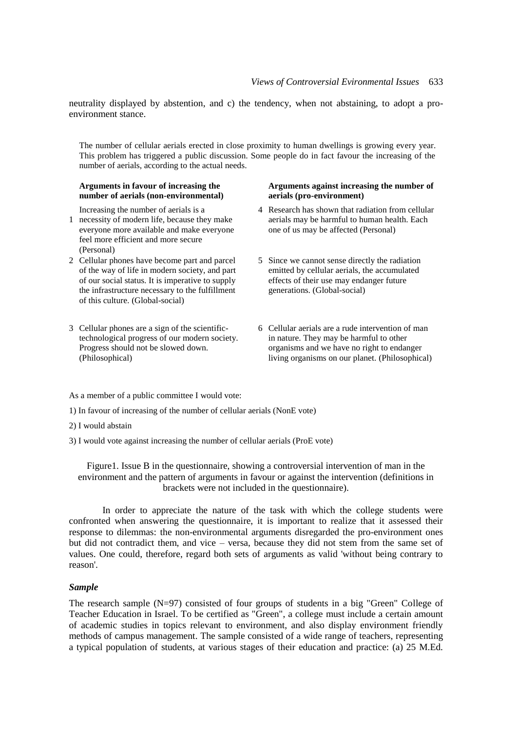neutrality displayed by abstention, and c) the tendency, when not abstaining, to adopt a proenvironment stance.

The number of cellular aerials erected in close proximity to human dwellings is growing every year. This problem has triggered a public discussion. Some people do in fact favour the increasing of the number of aerials, according to the actual needs.

#### **Arguments in favour of increasing the number of aerials (non-environmental)**

Increasing the number of aerials is a

- 1 necessity of modern life, because they make everyone more available and make everyone feel more efficient and more secure (Personal)
- 2 Cellular phones have become part and parcel of the way of life in modern society, and part of our social status. It is imperative to supply the infrastructure necessary to the fulfillment of this culture. (Global-social)
- 3 Cellular phones are a sign of the scientifictechnological progress of our modern society. Progress should not be slowed down. (Philosophical)

### **Arguments against increasing the number of aerials (pro-environment)**

- 4 Research has shown that radiation from cellular aerials may be harmful to human health. Each one of us may be affected (Personal)
- 5 Since we cannot sense directly the radiation emitted by cellular aerials, the accumulated effects of their use may endanger future generations. (Global-social)
- 6 Cellular aerials are a rude intervention of man in nature. They may be harmful to other organisms and we have no right to endanger living organisms on our planet. (Philosophical)

As a member of a public committee I would vote:

- 1) In favour of increasing of the number of cellular aerials (NonE vote)
- 2) I would abstain
- 3) I would vote against increasing the number of cellular aerials (ProE vote)

Figure1. Issue B in the questionnaire, showing a controversial intervention of man in the environment and the pattern of arguments in favour or against the intervention (definitions in brackets were not included in the questionnaire).

 In order to appreciate the nature of the task with which the college students were confronted when answering the questionnaire, it is important to realize that it assessed their response to dilemmas: the non-environmental arguments disregarded the pro-environment ones but did not contradict them, and vice – versa, because they did not stem from the same set of values. One could, therefore, regard both sets of arguments as valid 'without being contrary to reason'.

## *Sample*

The research sample (N=97) consisted of four groups of students in a big "Green" College of Teacher Education in Israel. To be certified as "Green", a college must include a certain amount of academic studies in topics relevant to environment, and also display environment friendly methods of campus management. The sample consisted of a wide range of teachers, representing a typical population of students, at various stages of their education and practice: (a) 25 M.Ed.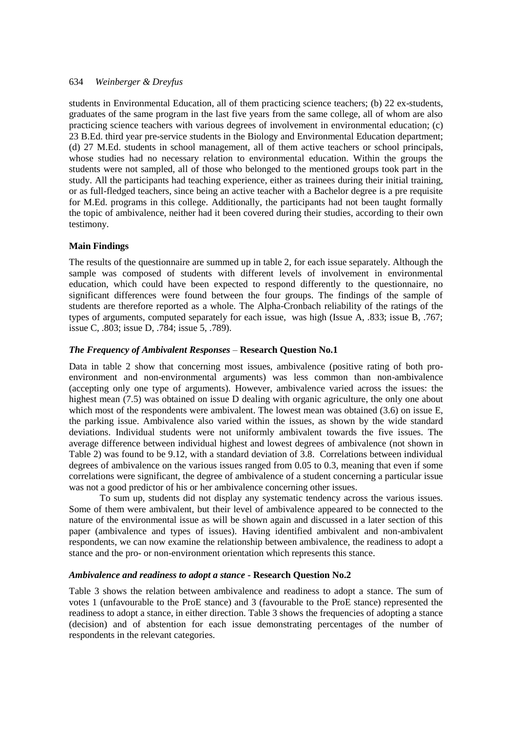students in Environmental Education, all of them practicing science teachers; (b) 22 ex-students, graduates of the same program in the last five years from the same college, all of whom are also practicing science teachers with various degrees of involvement in environmental education; (c) 23 B.Ed. third year pre-service *s*tudents in the Biology and Environmental Education department; (d) 27 M.Ed. students in school management, all of them active teachers or school principals, whose studies had no necessary relation to environmental education. Within the groups the students were not sampled, all of those who belonged to the mentioned groups took part in the study. All the participants had teaching experience, either as trainees during their initial training, or as full-fledged teachers, since being an active teacher with a Bachelor degree is a pre requisite for M.Ed. programs in this college. Additionally, the participants had not been taught formally the topic of ambivalence, neither had it been covered during their studies, according to their own testimony.

# **Main Findings**

The results of the questionnaire are summed up in table 2, for each issue separately. Although the sample was composed of students with different levels of involvement in environmental education, which could have been expected to respond differently to the questionnaire, no significant differences were found between the four groups. The findings of the sample of students are therefore reported as a whole. The Alpha-Cronbach reliability of the ratings of the types of arguments, computed separately for each issue, was high (Issue A, .833; issue B, .767; issue C, .803; issue D, .784; issue 5, .789).

# *The Frequency of Ambivalent Responses* – **Research Question No.1**

Data in table 2 show that concerning most issues, ambivalence (positive rating of both proenvironment and non-environmental arguments) was less common than non-ambivalence (accepting only one type of arguments). However, ambivalence varied across the issues: the highest mean (7.5) was obtained on issue D dealing with organic agriculture, the only one about which most of the respondents were ambivalent. The lowest mean was obtained  $(3.6)$  on issue E, the parking issue. Ambivalence also varied within the issues, as shown by the wide standard deviations. Individual students were not uniformly ambivalent towards the five issues. The average difference between individual highest and lowest degrees of ambivalence (not shown in Table 2) was found to be 9.12, with a standard deviation of 3.8. Correlations between individual degrees of ambivalence on the various issues ranged from 0.05 to 0.3, meaning that even if some correlations were significant, the degree of ambivalence of a student concerning a particular issue was not a good predictor of his or her ambivalence concerning other issues.

To sum up, students did not display any systematic tendency across the various issues. Some of them were ambivalent, but their level of ambivalence appeared to be connected to the nature of the environmental issue as will be shown again and discussed in a later section of this paper (ambivalence and types of issues). Having identified ambivalent and non-ambivalent respondents, we can now examine the relationship between ambivalence, the readiness to adopt a stance and the pro- or non-environment orientation which represents this stance.

# *Ambivalence and readiness to adopt a stance* **- Research Question No.2**

Table 3 shows the relation between ambivalence and readiness to adopt a stance. The sum of votes 1 (unfavourable to the ProE stance) and 3 (favourable to the ProE stance) represented the readiness to adopt a stance, in either direction. Table 3 shows the frequencies of adopting a stance (decision) and of abstention for each issue demonstrating percentages of the number of respondents in the relevant categories.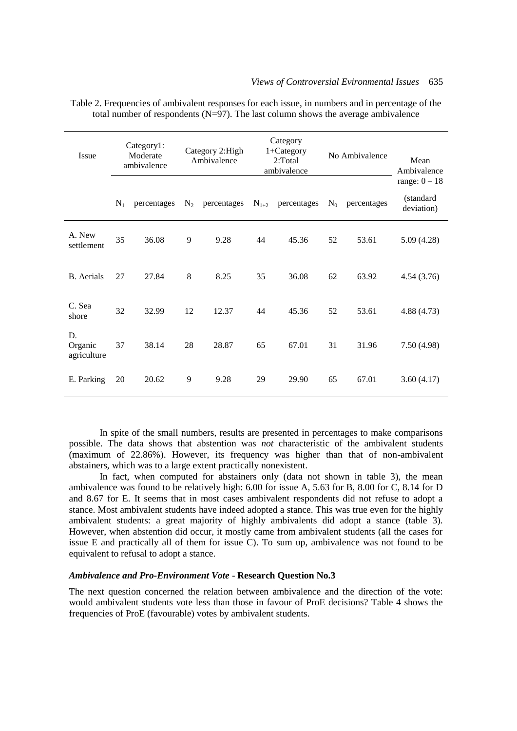| Issue                        | Category1:<br>Moderate<br>ambivalence |             | Category 2: High<br>Ambivalence |             |    | Category<br>$1 + \text{Category}$<br>2:Total<br>ambivalence | No Ambivalence           |       | Mean<br>Ambivalence                        |
|------------------------------|---------------------------------------|-------------|---------------------------------|-------------|----|-------------------------------------------------------------|--------------------------|-------|--------------------------------------------|
|                              | $N_1$                                 | percentages | $N_2$                           | percentages |    | $N_{1+2}$ percentages                                       | $\rm N_0$<br>percentages |       | range: $0 - 18$<br>(standard<br>deviation) |
| A. New<br>settlement         | 35                                    | 36.08       | 9                               | 9.28        | 44 | 45.36                                                       | 52                       | 53.61 | 5.09(4.28)                                 |
| <b>B.</b> Aerials            | 27                                    | 27.84       | $\,8\,$                         | 8.25        | 35 | 36.08                                                       | 62                       | 63.92 | 4.54(3.76)                                 |
| C. Sea<br>shore              | 32                                    | 32.99       | 12                              | 12.37       | 44 | 45.36                                                       | 52                       | 53.61 | 4.88 (4.73)                                |
| D.<br>Organic<br>agriculture | 37                                    | 38.14       | 28                              | 28.87       | 65 | 67.01                                                       | 31                       | 31.96 | 7.50 (4.98)                                |
| E. Parking                   | 20                                    | 20.62       | 9                               | 9.28        | 29 | 29.90                                                       | 65                       | 67.01 | 3.60(4.17)                                 |

Table 2. Frequencies of ambivalent responses for each issue, in numbers and in percentage of the total number of respondents  $(N=97)$ . The last column shows the average ambivalence

In spite of the small numbers, results are presented in percentages to make comparisons possible. The data shows that abstention was *not* characteristic of the ambivalent students (maximum of 22.86%). However, its frequency was higher than that of non-ambivalent abstainers, which was to a large extent practically nonexistent.

In fact, when computed for abstainers only (data not shown in table 3), the mean ambivalence was found to be relatively high: 6.00 for issue A, 5.63 for B, 8.00 for C, 8.14 for D and 8.67 for E. It seems that in most cases ambivalent respondents did not refuse to adopt a stance. Most ambivalent students have indeed adopted a stance. This was true even for the highly ambivalent students: a great majority of highly ambivalents did adopt a stance (table 3). However, when abstention did occur, it mostly came from ambivalent students (all the cases for issue E and practically all of them for issue C). To sum up, ambivalence was not found to be equivalent to refusal to adopt a stance.

# *Ambivalence and Pro-Environment Vote* - **Research Question No.3**

The next question concerned the relation between ambivalence and the direction of the vote: would ambivalent students vote less than those in favour of ProE decisions? Table 4 shows the frequencies of ProE (favourable) votes by ambivalent students.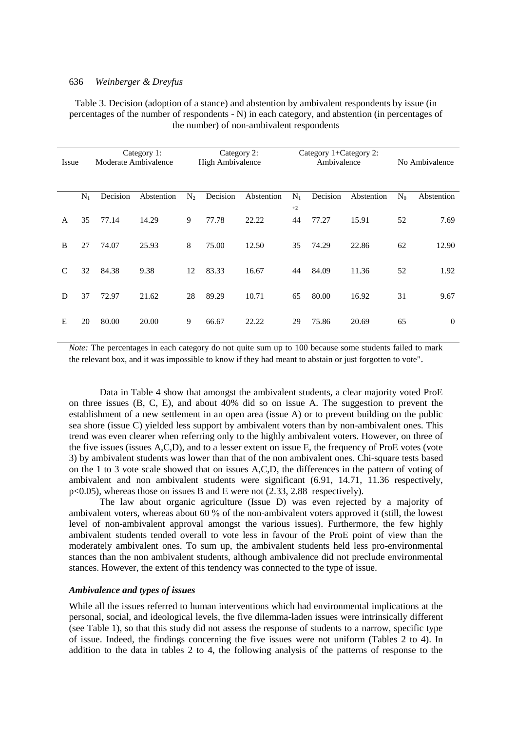Table 3. Decision (adoption of a stance) and abstention by ambivalent respondents by issue (in percentages of the number of respondents - N) in each category, and abstention (in percentages of the number) of non-ambivalent respondents

| Issue        |       |          |            | Category 1:<br>Moderate Ambivalence |          |            | Category 2:<br><b>High Ambivalence</b> |          | Category 1+Category 2:<br>Ambivalence |           |            | No Ambivalence |
|--------------|-------|----------|------------|-------------------------------------|----------|------------|----------------------------------------|----------|---------------------------------------|-----------|------------|----------------|
|              | $N_1$ | Decision | Abstention | $N_2$                               | Decision | Abstention | $N_1$                                  | Decision | Abstention                            | $\rm N_0$ | Abstention |                |
|              |       |          |            |                                     |          |            | $+2$                                   |          |                                       |           |            |                |
| $\mathsf{A}$ | 35    | 77.14    | 14.29      | 9                                   | 77.78    | 22.22      | 44                                     | 77.27    | 15.91                                 | 52        | 7.69       |                |
| B            | 27    | 74.07    | 25.93      | 8                                   | 75.00    | 12.50      | 35                                     | 74.29    | 22.86                                 | 62        | 12.90      |                |
| C            | 32    | 84.38    | 9.38       | 12                                  | 83.33    | 16.67      | 44                                     | 84.09    | 11.36                                 | 52        | 1.92       |                |
| D            | 37    | 72.97    | 21.62      | 28                                  | 89.29    | 10.71      | 65                                     | 80.00    | 16.92                                 | 31        | 9.67       |                |
| E            | 20    | 80.00    | 20.00      | 9                                   | 66.67    | 22.22      | 29                                     | 75.86    | 20.69                                 | 65        | $\theta$   |                |

*Note:* The percentages in each category do not quite sum up to 100 because some students failed to mark the relevant box, and it was impossible to know if they had meant to abstain or just forgotten to vote".

Data in Table 4 show that amongst the ambivalent students, a clear majority voted ProE on three issues (B, C, E), and about 40% did so on issue A. The suggestion to prevent the establishment of a new settlement in an open area (issue A) or to prevent building on the public sea shore (issue C) yielded less support by ambivalent voters than by non-ambivalent ones. This trend was even clearer when referring only to the highly ambivalent voters. However, on three of the five issues (issues A,C,D), and to a lesser extent on issue E, the frequency of ProE votes (vote 3) by ambivalent students was lower than that of the non ambivalent ones. Chi-square tests based on the 1 to 3 vote scale showed that on issues A,C,D, the differences in the pattern of voting of ambivalent and non ambivalent students were significant (6.91, 14.71, 11.36 respectively, p<0.05), whereas those on issues B and E were not (2.33, 2.88 respectively).

The law about organic agriculture (Issue D) was even rejected by a majority of ambivalent voters, whereas about 60 % of the non-ambivalent voters approved it (still, the lowest level of non-ambivalent approval amongst the various issues). Furthermore, the few highly ambivalent students tended overall to vote less in favour of the ProE point of view than the moderately ambivalent ones. To sum up, the ambivalent students held less pro-environmental stances than the non ambivalent students, although ambivalence did not preclude environmental stances. However, the extent of this tendency was connected to the type of issue.

# *Ambivalence and types of issues*

While all the issues referred to human interventions which had environmental implications at the personal, social, and ideological levels, the five dilemma-laden issues were intrinsically different (see Table 1), so that this study did not assess the response of students to a narrow, specific type of issue. Indeed, the findings concerning the five issues were not uniform (Tables 2 to 4). In addition to the data in tables 2 to 4, the following analysis of the patterns of response to the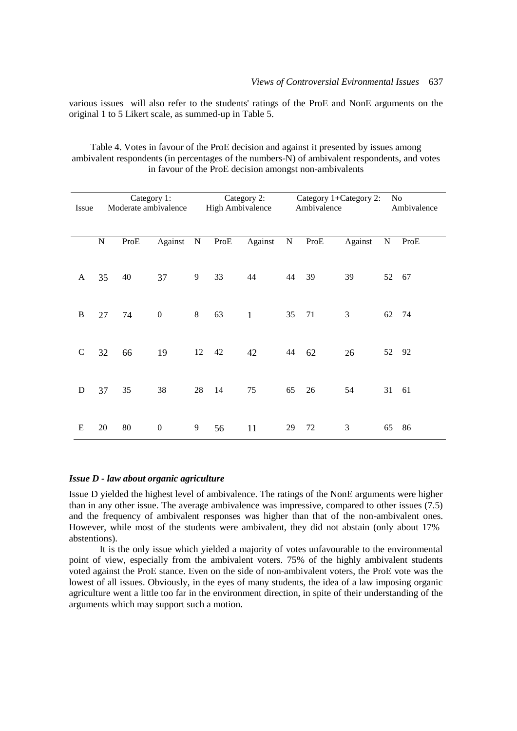various issues will also refer to the students' ratings of the ProE and NonE arguments on the original 1 to 5 Likert scale, as summed-up in Table 5.

| Table 4. Votes in favour of the ProE decision and against it presented by issues among        |
|-----------------------------------------------------------------------------------------------|
| ambivalent respondents (in percentages of the numbers-N) of ambivalent respondents, and votes |
| in favour of the ProE decision amongst non-ambivalents                                        |

|               | Category 1:<br>Moderate ambivalence<br>Issue |      |                  |           | Category 2:<br><b>High Ambivalence</b> |              |           | Category 1+Category 2:<br>Ambivalence |         |           | No<br>Ambivalence |  |
|---------------|----------------------------------------------|------|------------------|-----------|----------------------------------------|--------------|-----------|---------------------------------------|---------|-----------|-------------------|--|
|               | $\mathbf N$                                  | ProE | Against          | ${\bf N}$ | ProE                                   | Against      | ${\bf N}$ | ProE                                  | Against | ${\bf N}$ | ProE              |  |
| $\mathbf{A}$  | 35                                           | 40   | 37               | 9         | 33                                     | 44           | 44        | 39                                    | 39      | 52        | 67                |  |
| $\bf{B}$      | 27                                           | 74   | $\boldsymbol{0}$ | 8         | 63                                     | $\mathbf{1}$ | 35        | 71                                    | 3       | 62        | 74                |  |
| $\mathcal{C}$ | 32                                           | 66   | 19               | 12        | 42                                     | 42           | 44        | 62                                    | 26      | 52        | 92                |  |
| D             | 37                                           | 35   | 38               | 28        | 14                                     | 75           | 65        | 26                                    | 54      | 31        | 61                |  |
| E             | 20                                           | 80   | $\boldsymbol{0}$ | 9         | 56                                     | 11           | 29        | 72                                    | 3       | 65        | 86                |  |

#### *Issue D - law about organic agriculture*

Issue D yielded the highest level of ambivalence. The ratings of the NonE arguments were higher than in any other issue. The average ambivalence was impressive, compared to other issues (7.5) and the frequency of ambivalent responses was higher than that of the non-ambivalent ones. However, while most of the students were ambivalent, they did not abstain (only about 17% abstentions).

It is the only issue which yielded a majority of votes unfavourable to the environmental point of view, especially from the ambivalent voters. 75% of the highly ambivalent students voted against the ProE stance. Even on the side of non-ambivalent voters, the ProE vote was the lowest of all issues. Obviously, in the eyes of many students, the idea of a law imposing organic agriculture went a little too far in the environment direction, in spite of their understanding of the arguments which may support such a motion.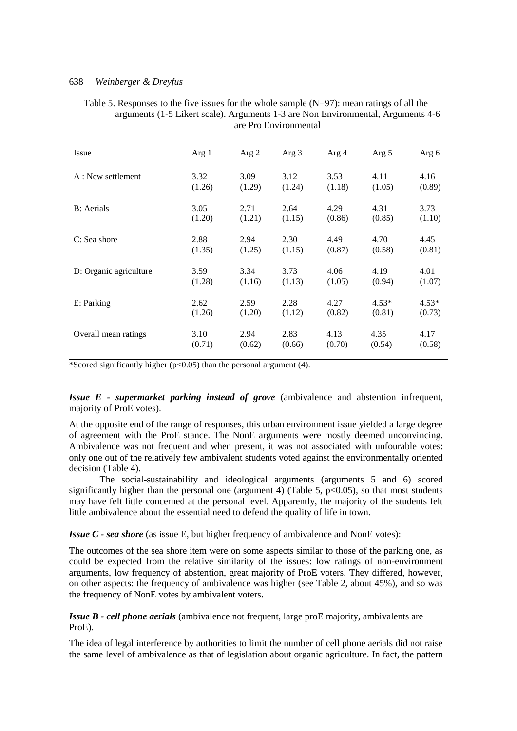| Issue                  | Arg $1$ | Arg 2          | Arg 3          | Arg 4          | Arg 5          | Arg 6   |
|------------------------|---------|----------------|----------------|----------------|----------------|---------|
| A : New settlement     | 3.32    | 3.09           | 3.12           | 3.53           | 4.11           | 4.16    |
|                        | (1.26)  | (1.29)         | (1.24)         | (1.18)         | (1.05)         | (0.89)  |
| <b>B</b> : Aerials     | 3.05    | 2.71           | 2.64           | 4.29           | 4.31           | 3.73    |
|                        | (1.20)  | (1.21)         | (1.15)         | (0.86)         | (0.85)         | (1.10)  |
| C: Sea shore           | 2.88    | 2.94           | 2.30           | 4.49           | 4.70           | 4.45    |
|                        | (1.35)  | (1.25)         | (1.15)         | (0.87)         | (0.58)         | (0.81)  |
| D: Organic agriculture | 3.59    | 3.34           | 3.73           | 4.06           | 4.19           | 4.01    |
|                        | (1.28)  | (1.16)         | (1.13)         | (1.05)         | (0.94)         | (1.07)  |
| E: Parking             | 2.62    | 2.59           | 2.28           | 4.27           | $4.53*$        | $4.53*$ |
|                        | (1.26)  | (1.20)         | (1.12)         | (0.82)         | (0.81)         | (0.73)  |
| Overall mean ratings   | 3.10    | 2.94<br>(0.62) | 2.83<br>(0.66) | 4.13<br>(0.70) | 4.35<br>(0.54) | 4.17    |
|                        | (0.71)  |                |                |                |                | (0.58)  |

Table 5. Responses to the five issues for the whole sample  $(N=97)$ : mean ratings of all the arguments (1-5 Likert scale). Arguments 1-3 are Non Environmental, Arguments 4-6 are Pro Environmental

\*Scored significantly higher ( $p<0.05$ ) than the personal argument (4).

*Issue E - supermarket parking instead of grove* (ambivalence and abstention infrequent, majority of ProE votes).

At the opposite end of the range of responses, this urban environment issue yielded a large degree of agreement with the ProE stance. The NonE arguments were mostly deemed unconvincing. Ambivalence was not frequent and when present, it was not associated with unfourable votes: only one out of the relatively few ambivalent students voted against the environmentally oriented decision (Table 4).

The social-sustainability and ideological arguments (arguments 5 and 6) scored significantly higher than the personal one (argument 4) (Table 5,  $p<0.05$ ), so that most students may have felt little concerned at the personal level. Apparently, the majority of the students felt little ambivalence about the essential need to defend the quality of life in town.

*Issue C - sea shore* (as issue E, but higher frequency of ambivalence and NonE votes):

The outcomes of the sea shore item were on some aspects similar to those of the parking one, as could be expected from the relative similarity of the issues: low ratings of non-environment arguments, low frequency of abstention, great majority of ProE voters. They differed, however, on other aspects: the frequency of ambivalence was higher (see Table 2, about 45%), and so was the frequency of NonE votes by ambivalent voters.

*Issue B - cell phone aerials* (ambivalence not frequent, large proE majority, ambivalents are ProE).

The idea of legal interference by authorities to limit the number of cell phone aerials did not raise the same level of ambivalence as that of legislation about organic agriculture. In fact, the pattern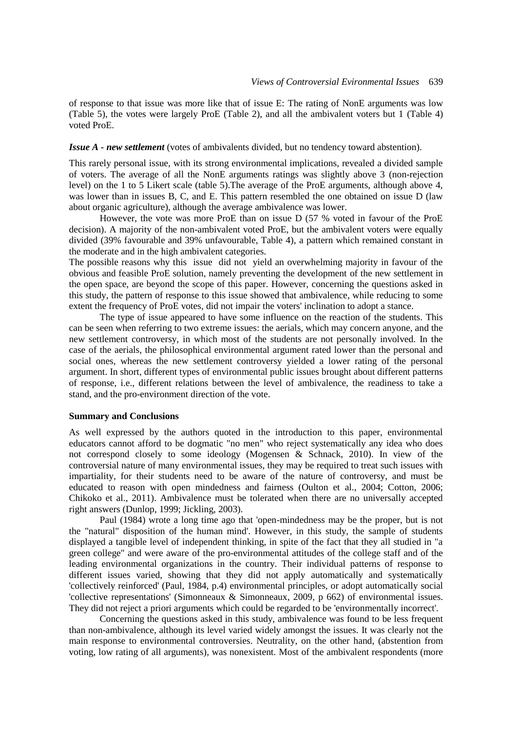of response to that issue was more like that of issue E: The rating of NonE arguments was low (Table 5), the votes were largely ProE (Table 2), and all the ambivalent voters but 1 (Table 4) voted ProE.

# *Issue A - new settlement* (votes of ambivalents divided, but no tendency toward abstention).

This rarely personal issue, with its strong environmental implications, revealed a divided sample of voters. The average of all the NonE arguments ratings was slightly above 3 (non-rejection level) on the 1 to 5 Likert scale (table 5).The average of the ProE arguments, although above 4, was lower than in issues B, C, and E. This pattern resembled the one obtained on issue D (law about organic agriculture), although the average ambivalence was lower.

However, the vote was more ProE than on issue D (57 % voted in favour of the ProE decision). A majority of the non-ambivalent voted ProE, but the ambivalent voters were equally divided (39% favourable and 39% unfavourable, Table 4), a pattern which remained constant in the moderate and in the high ambivalent categories.

The possible reasons why this issue did not yield an overwhelming majority in favour of the obvious and feasible ProE solution, namely preventing the development of the new settlement in the open space, are beyond the scope of this paper. However, concerning the questions asked in this study, the pattern of response to this issue showed that ambivalence, while reducing to some extent the frequency of ProE votes, did not impair the voters' inclination to adopt a stance.

The type of issue appeared to have some influence on the reaction of the students. This can be seen when referring to two extreme issues: the aerials, which may concern anyone, and the new settlement controversy, in which most of the students are not personally involved. In the case of the aerials, the philosophical environmental argument rated lower than the personal and social ones, whereas the new settlement controversy yielded a lower rating of the personal argument. In short, different types of environmental public issues brought about different patterns of response, i.e., different relations between the level of ambivalence, the readiness to take a stand, and the pro-environment direction of the vote.

## **Summary and Conclusions**

As well expressed by the authors quoted in the introduction to this paper, environmental educators cannot afford to be dogmatic "no men" who reject systematically any idea who does not correspond closely to some ideology (Mogensen & Schnack, 2010). In view of the controversial nature of many environmental issues, they may be required to treat such issues with impartiality, for their students need to be aware of the nature of controversy, and must be educated to reason with open mindedness and fairness (Oulton et al., 2004; Cotton, 2006; Chikoko et al., 2011). Ambivalence must be tolerated when there are no universally accepted right answers (Dunlop, 1999; Jickling, 2003).

Paul (1984) wrote a long time ago that 'open-mindedness may be the proper, but is not the "natural" disposition of the human mind'. However, in this study, the sample of students displayed a tangible level of independent thinking, in spite of the fact that they all studied in "a green college" and were aware of the pro-environmental attitudes of the college staff and of the leading environmental organizations in the country. Their individual patterns of response to different issues varied, showing that they did not apply automatically and systematically 'collectively reinforced' (Paul, 1984, p.4) environmental principles, or adopt automatically social 'collective representations' (Simonneaux & Simonneaux, 2009, p 662) of environmental issues. They did not reject a priori arguments which could be regarded to be 'environmentally incorrect'.

Concerning the questions asked in this study, ambivalence was found to be less frequent than non-ambivalence, although its level varied widely amongst the issues. It was clearly not the main response to environmental controversies. Neutrality, on the other hand, (abstention from voting, low rating of all arguments), was nonexistent. Most of the ambivalent respondents (more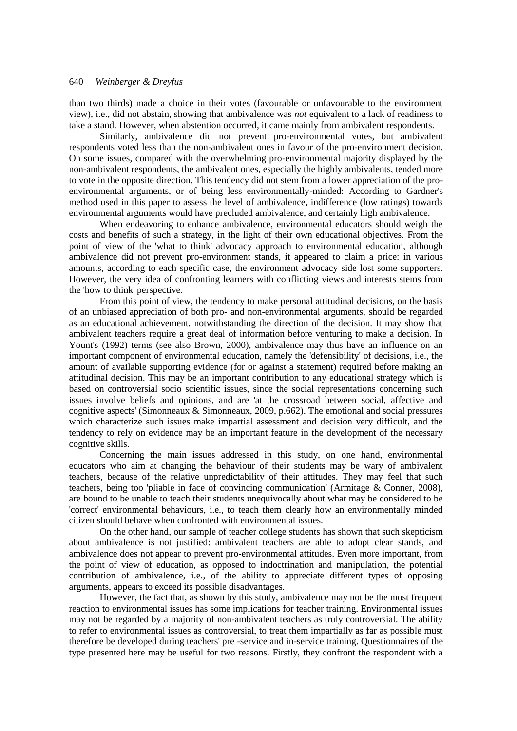than two thirds) made a choice in their votes (favourable or unfavourable to the environment view), i.e., did not abstain, showing that ambivalence was *not* equivalent to a lack of readiness to take a stand. However, when abstention occurred, it came mainly from ambivalent respondents.

Similarly, ambivalence did not prevent pro-environmental votes, but ambivalent respondents voted less than the non-ambivalent ones in favour of the pro-environment decision. On some issues, compared with the overwhelming pro-environmental majority displayed by the non-ambivalent respondents, the ambivalent ones, especially the highly ambivalents, tended more to vote in the opposite direction. This tendency did not stem from a lower appreciation of the proenvironmental arguments, or of being less environmentally-minded: According to Gardner's method used in this paper to assess the level of ambivalence, indifference (low ratings) towards environmental arguments would have precluded ambivalence, and certainly high ambivalence.

When endeavoring to enhance ambivalence, environmental educators should weigh the costs and benefits of such a strategy, in the light of their own educational objectives. From the point of view of the 'what to think' advocacy approach to environmental education, although ambivalence did not prevent pro-environment stands, it appeared to claim a price: in various amounts, according to each specific case, the environment advocacy side lost some supporters. However, the very idea of confronting learners with conflicting views and interests stems from the 'how to think' perspective.

From this point of view, the tendency to make personal attitudinal decisions, on the basis of an unbiased appreciation of both pro- and non-environmental arguments, should be regarded as an educational achievement, notwithstanding the direction of the decision. It may show that ambivalent teachers require a great deal of information before venturing to make a decision. In Yount's (1992) terms (see also Brown, 2000), ambivalence may thus have an influence on an important component of environmental education, namely the 'defensibility' of decisions, i.e., the amount of available supporting evidence (for or against a statement) required before making an attitudinal decision. This may be an important contribution to any educational strategy which is based on controversial socio scientific issues, since the social representations concerning such issues involve beliefs and opinions, and are 'at the crossroad between social, affective and cognitive aspects' (Simonneaux & Simonneaux, 2009, p.662). The emotional and social pressures which characterize such issues make impartial assessment and decision very difficult, and the tendency to rely on evidence may be an important feature in the development of the necessary cognitive skills.

Concerning the main issues addressed in this study, on one hand, environmental educators who aim at changing the behaviour of their students may be wary of ambivalent teachers, because of the relative unpredictability of their attitudes. They may feel that such teachers, being too 'pliable in face of convincing communication' (Armitage & Conner, 2008), are bound to be unable to teach their students unequivocally about what may be considered to be 'correct' environmental behaviours, i.e., to teach them clearly how an environmentally minded citizen should behave when confronted with environmental issues.

On the other hand, our sample of teacher college students has shown that such skepticism about ambivalence is not justified: ambivalent teachers are able to adopt clear stands, and ambivalence does not appear to prevent pro-environmental attitudes. Even more important, from the point of view of education, as opposed to indoctrination and manipulation, the potential contribution of ambivalence, i.e., of the ability to appreciate different types of opposing arguments, appears to exceed its possible disadvantages.

However, the fact that, as shown by this study, ambivalence may not be the most frequent reaction to environmental issues has some implications for teacher training. Environmental issues may not be regarded by a majority of non-ambivalent teachers as truly controversial. The ability to refer to environmental issues as controversial, to treat them impartially as far as possible must therefore be developed during teachers' pre -service and in-service training. Questionnaires of the type presented here may be useful for two reasons. Firstly, they confront the respondent with a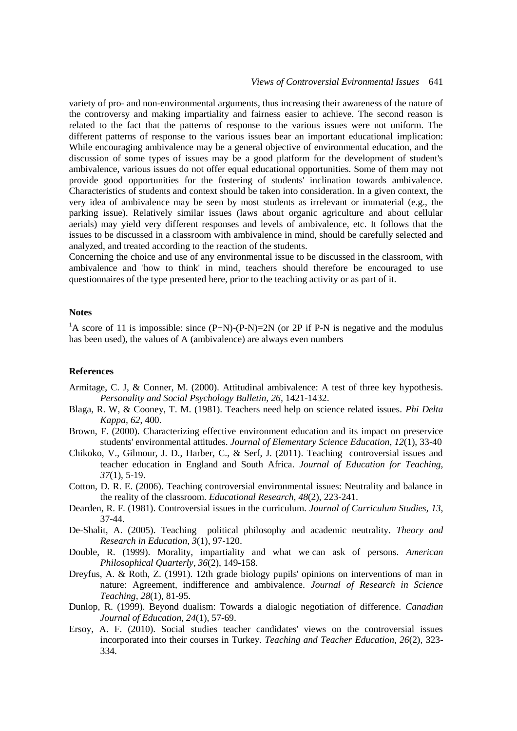variety of pro- and non-environmental arguments, thus increasing their awareness of the nature of the controversy and making impartiality and fairness easier to achieve. The second reason is related to the fact that the patterns of response to the various issues were not uniform. The different patterns of response to the various issues bear an important educational implication: While encouraging ambivalence may be a general objective of environmental education, and the discussion of some types of issues may be a good platform for the development of student's ambivalence, various issues do not offer equal educational opportunities. Some of them may not provide good opportunities for the fostering of students' inclination towards ambivalence. Characteristics of students and context should be taken into consideration. In a given context, the very idea of ambivalence may be seen by most students as irrelevant or immaterial (e.g., the parking issue). Relatively similar issues (laws about organic agriculture and about cellular aerials) may yield very different responses and levels of ambivalence, etc. It follows that the issues to be discussed in a classroom with ambivalence in mind, should be carefully selected and analyzed, and treated according to the reaction of the students.

Concerning the choice and use of any environmental issue to be discussed in the classroom, with ambivalence and 'how to think' in mind, teachers should therefore be encouraged to use questionnaires of the type presented here, prior to the teaching activity or as part of it.

## **Notes**

<sup>1</sup>A score of 11 is impossible: since  $(P+N)-(P-N)=2N$  (or 2P if P-N is negative and the modulus has been used), the values of A (ambivalence) are always even numbers

### **References**

- Armitage, C. J, & Conner, M. (2000). Attitudinal ambivalence: A test of three key hypothesis. *Personality and Social Psychology Bulletin, 26,* 1421-1432.
- Blaga, R. W, & Cooney, T. M. (1981). Teachers need help on science related issues. *Phi Delta Kappa, 62*, 400.
- Brown, F. (2000). Characterizing effective environment education and its impact on preservice students' environmental attitudes. *Journal of Elementary Science Education*, *12*(1), 33-40
- Chikoko, V., Gilmour, J. D., Harber, C., & Serf, J. (2011). Teaching controversial issues and teacher education in England and South Africa. *Journal of Education for Teaching*, *37*(1), 5-19.
- Cotton, D. R. E. (2006). Teaching controversial environmental issues: Neutrality and balance in the reality of the classroom. *Educational Research, 48*(2), 223-241.
- Dearden, R. F. (1981). Controversial issues in the curriculum. *Journal of Curriculum Studies, 13*, 37-44.
- De-Shalit, A. (2005). Teaching political philosophy and academic neutrality. *Theory and Research in Education, 3*(1), 97-120.
- Double, R. (1999). Morality, impartiality and what we can ask of persons. *American Philosophical Quarterly*, *36*(2), 149-158.
- Dreyfus, A. & Roth, Z. (1991). 12th grade biology pupils' opinions on interventions of man in nature: Agreement, indifference and ambivalence. *Journal of Research in Science Teaching, 28*(1), 81-95.
- Dunlop, R. (1999). Beyond dualism: Towards a dialogic negotiation of difference. *Canadian Journal of Education, 24*(1), 57-69.
- Ersoy, A. F. (2010). Social studies teacher candidates' views on the controversial issues incorporated into their courses in Turkey. *Teaching and Teacher Education, 26*(2)*,* 323- 334.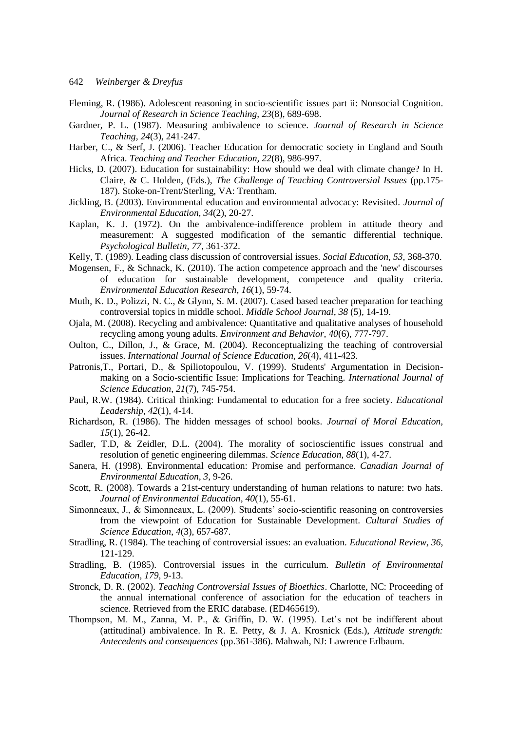- Fleming, R. (1986). Adolescent reasoning in socio-scientific issues part ii: Nonsocial Cognition. *Journal of Research in Science Teaching, 23*(8), 689-698.
- Gardner, P. L. (1987). Measuring ambivalence to science. *Journal of Research in Science Teaching, 24*(3), 241-247.
- Harber, C., & Serf, J. (2006). Teacher Education for democratic society in England and South Africa. *Teaching and Teacher Education, 22*(8)*,* 986-997.
- Hicks, D. (2007). Education for sustainability: How should we deal with climate change? In H. Claire, & C. Holden, (Eds.), *The Challenge of Teaching Controversial Issues* (pp.175- 187)*.* Stoke-on-Trent/Sterling, VA: Trentham.
- Jickling, B. (2003). Environmental education and environmental advocacy: Revisited. *Journal of Environmental Education, 34*(2), 20-27.
- Kaplan, K. J. (1972). On the ambivalence-indifference problem in attitude theory and measurement: A suggested modification of the semantic differential technique. *Psychological Bulletin, 77*, 361-372.
- Kelly, T. (1989). Leading class discussion of controversial issues. *Social Education, 53*, 368-370.
- Mogensen, F., & Schnack, K. (2010). The action competence approach and the 'new' discourses of education for sustainable development, competence and quality criteria. *Environmental Education Research, 16*(1), 59-74.
- Muth, K. D., Polizzi, N. C., & Glynn, S. M. (2007). Cased based teacher preparation for teaching controversial topics in middle school. *Middle School Journal, 38* (5)*,* 14-19.
- Ojala, M. (2008). Recycling and ambivalence: Quantitative and qualitative analyses of household recycling among young adults. *Environment and Behavior, 40*(6), 777-797.
- Oulton, C., Dillon, J., & Grace, M. (2004). Reconceptualizing the teaching of controversial issues. *International Journal of Science Education, 26*(4), 411-423.
- Patronis, T., Portari, D., & Spiliotopoulou, V. (1999). Students' Argumentation in Decisionmaking on a Socio-scientific Issue: Implications for Teaching. *International Journal of Science Education, 21*(7), 745-754.
- Paul, R.W. (1984). Critical thinking: Fundamental to education for a free society. *Educational Leadership*, *42*(1), 4-14.
- Richardson, R. (1986). The hidden messages of school books. *Journal of Moral Education, 15*(1), 26-42.
- Sadler, T.D, & Zeidler, D.L. (2004). The morality of socioscientific issues construal and resolution of genetic engineering dilemmas. *Science Education*, *88*(1), 4-27.
- Sanera, H. (1998). Environmental education: Promise and performance. *Canadian Journal of Environmental Education*, *3*, 9-26.
- Scott, R. (2008). Towards a 21st-century understanding of human relations to nature: two hats. *Journal of Environmental Education, 40*(1), 55-61.
- Simonneaux, J., & Simonneaux, L. (2009). Students' socio-scientific reasoning on controversies from the viewpoint of Education for Sustainable Development. *Cultural Studies of Science Education*, *4*(3), 657-687.
- Stradling, R. (1984). The teaching of controversial issues: an evaluation. *Educational Review*, *36*, 121-129.
- Stradling, B. (1985). Controversial issues in the curriculum. *Bulletin of Environmental Education, 179*, 9-13.
- Stronck, D. R. (2002). *Teaching Controversial Issues of Bioethics*. Charlotte, NC: Proceeding of the annual international conference of association for the education of teachers in science*.* Retrieved from the ERIC database. (ED465619).
- Thompson, M. M., Zanna, M. P., & Griffin, D. W. (1995). Let's not be indifferent about (attitudinal) ambivalence. In R. E. Petty, & J. A. Krosnick (Eds.), *Attitude strength: Antecedents and consequences* (pp.361-386). Mahwah, NJ: Lawrence Erlbaum.